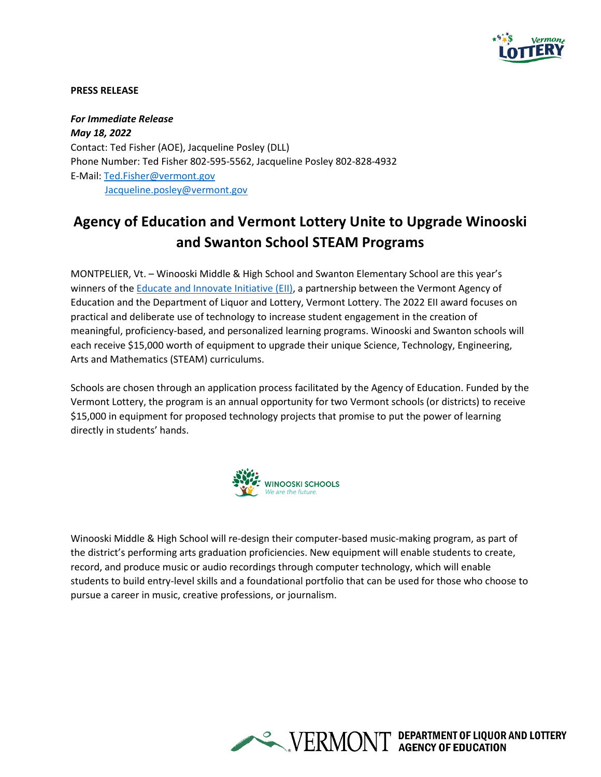

## **PRESS RELEASE**

*For Immediate Release May 18, 2022* Contact: Ted Fisher (AOE), Jacqueline Posley (DLL) Phone Number: Ted Fisher 802-595-5562, Jacqueline Posley 802-828-4932 E-Mail: Ted.Fisher@vermont.gov Jacqueline.posley@vermont.gov

## **Agency of Education and Vermont Lottery Unite to Upgrade Winooski and Swanton School STEAM Programs**

MONTPELIER, Vt. – Winooski Middle & High School and Swanton Elementary School are this year's winners of the Educate and Innovate Initiative (EII), a partnership between the Vermont Agency of Education and the Department of Liquor and Lottery, Vermont Lottery. The 2022 EII award focuses on practical and deliberate use of technology to increase student engagement in the creation of meaningful, proficiency-based, and personalized learning programs. Winooski and Swanton schools will each receive \$15,000 worth of equipment to upgrade their unique Science, Technology, Engineering, Arts and Mathematics (STEAM) curriculums.

Schools are chosen through an application process facilitated by the Agency of Education. Funded by the Vermont Lottery, the program is an annual opportunity for two Vermont schools (or districts) to receive \$15,000 in equipment for proposed technology projects that promise to put the power of learning directly in students' hands.



Winooski Middle & High School will re-design their computer-based music-making program, as part of the district's performing arts graduation proficiencies. New equipment will enable students to create, record, and produce music or audio recordings through computer technology, which will enable students to build entry-level skills and a foundational portfolio that can be used for those who choose to pursue a career in music, creative professions, or journalism.